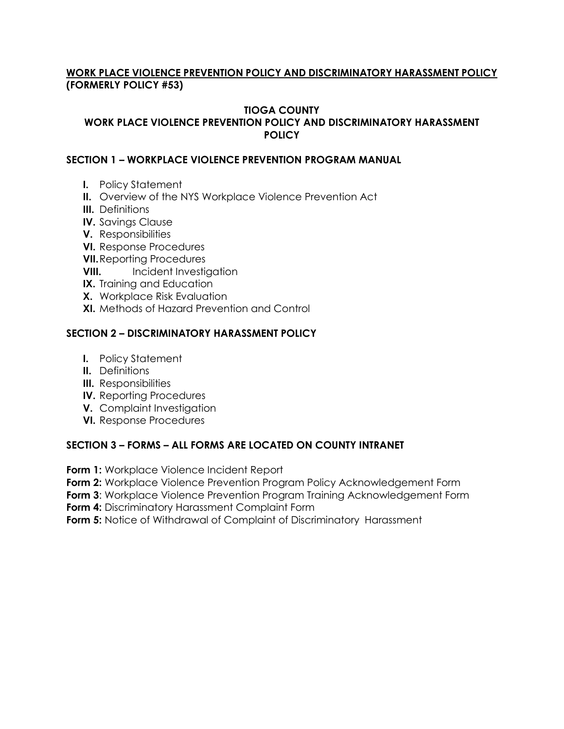# **WORK PLACE VIOLENCE PREVENTION POLICY AND DISCRIMINATORY HARASSMENT POLICY (FORMERLY POLICY #53)**

# **TIOGA COUNTY**

# **WORK PLACE VIOLENCE PREVENTION POLICY AND DISCRIMINATORY HARASSMENT POLICY**

# **SECTION 1 – WORKPLACE VIOLENCE PREVENTION PROGRAM MANUAL**

- **I.** Policy Statement
- **II.** Overview of the NYS Workplace Violence Prevention Act
- **III.** Definitions
- **IV.** Savings Clause
- **V.** Responsibilities
- **VI.** Response Procedures
- **VII.**Reporting Procedures
- **VIII.** Incident Investigation
- **IX.** Training and Education
- **X.** Workplace Risk Evaluation
- **XI.** Methods of Hazard Prevention and Control

# **SECTION 2 – DISCRIMINATORY HARASSMENT POLICY**

- **I.** Policy Statement
- **II.** Definitions
- **III.** Responsibilities
- **IV.** Reporting Procedures
- **V.** Complaint Investigation
- **VI.** Response Procedures

# **SECTION 3 – FORMS – ALL FORMS ARE LOCATED ON COUNTY INTRANET**

**Form 1:** Workplace Violence Incident Report

**Form 2:** Workplace Violence Prevention Program Policy Acknowledgement Form

**Form 3:** Workplace Violence Prevention Program Training Acknowledgement Form

**Form 4:** Discriminatory Harassment Complaint Form

**Form 5:** Notice of Withdrawal of Complaint of Discriminatory Harassment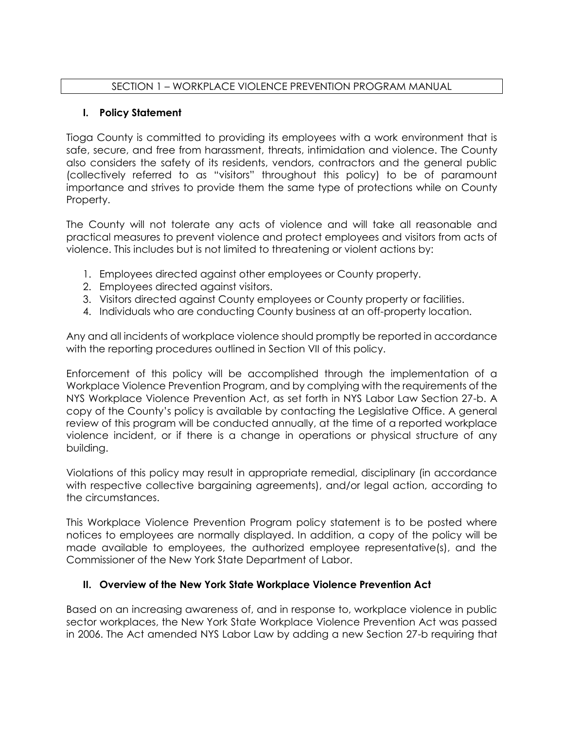# SECTION 1 – WORKPLACE VIOLENCE PREVENTION PROGRAM MANUAL

# **I. Policy Statement**

Tioga County is committed to providing its employees with a work environment that is safe, secure, and free from harassment, threats, intimidation and violence. The County also considers the safety of its residents, vendors, contractors and the general public (collectively referred to as "visitors" throughout this policy) to be of paramount importance and strives to provide them the same type of protections while on County Property.

The County will not tolerate any acts of violence and will take all reasonable and practical measures to prevent violence and protect employees and visitors from acts of violence. This includes but is not limited to threatening or violent actions by:

- 1. Employees directed against other employees or County property.
- 2. Employees directed against visitors.
- 3. Visitors directed against County employees or County property or facilities.
- 4. Individuals who are conducting County business at an off-property location.

Any and all incidents of workplace violence should promptly be reported in accordance with the reporting procedures outlined in Section VII of this policy.

Enforcement of this policy will be accomplished through the implementation of a Workplace Violence Prevention Program, and by complying with the requirements of the NYS Workplace Violence Prevention Act, as set forth in NYS Labor Law Section 27-b. A copy of the County's policy is available by contacting the Legislative Office. A general review of this program will be conducted annually, at the time of a reported workplace violence incident, or if there is a change in operations or physical structure of any building.

Violations of this policy may result in appropriate remedial, disciplinary (in accordance with respective collective bargaining agreements), and/or legal action, according to the circumstances.

This Workplace Violence Prevention Program policy statement is to be posted where notices to employees are normally displayed. In addition, a copy of the policy will be made available to employees, the authorized employee representative(s), and the Commissioner of the New York State Department of Labor.

# **II. Overview of the New York State Workplace Violence Prevention Act**

Based on an increasing awareness of, and in response to, workplace violence in public sector workplaces, the New York State Workplace Violence Prevention Act was passed in 2006. The Act amended NYS Labor Law by adding a new Section 27-b requiring that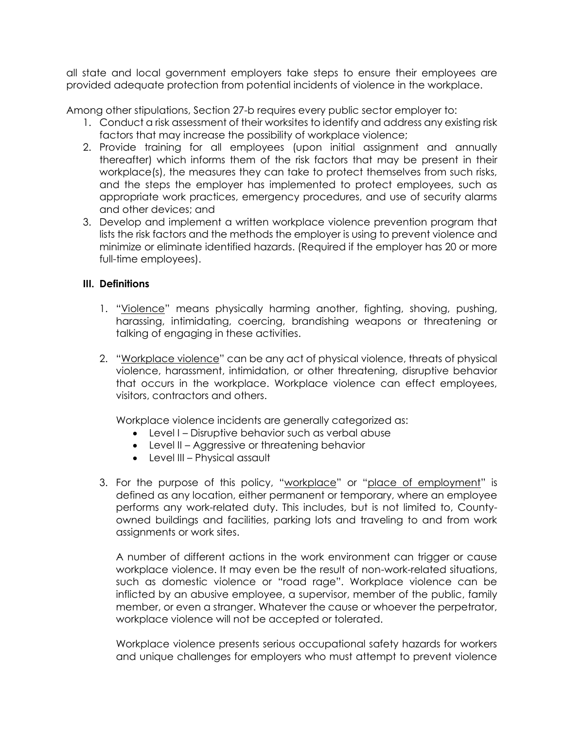all state and local government employers take steps to ensure their employees are provided adequate protection from potential incidents of violence in the workplace.

Among other stipulations, Section 27-b requires every public sector employer to:

- 1. Conduct a risk assessment of their worksites to identify and address any existing risk factors that may increase the possibility of workplace violence;
- 2. Provide training for all employees (upon initial assignment and annually thereafter) which informs them of the risk factors that may be present in their workplace(s), the measures they can take to protect themselves from such risks, and the steps the employer has implemented to protect employees, such as appropriate work practices, emergency procedures, and use of security alarms and other devices; and
- 3. Develop and implement a written workplace violence prevention program that lists the risk factors and the methods the employer is using to prevent violence and minimize or eliminate identified hazards. (Required if the employer has 20 or more full-time employees).

### **III. Definitions**

- 1. "Violence" means physically harming another, fighting, shoving, pushing, harassing, intimidating, coercing, brandishing weapons or threatening or talking of engaging in these activities.
- 2. "Workplace violence" can be any act of physical violence, threats of physical violence, harassment, intimidation, or other threatening, disruptive behavior that occurs in the workplace. Workplace violence can effect employees, visitors, contractors and others.

Workplace violence incidents are generally categorized as:

- Level I Disruptive behavior such as verbal abuse
- Level II Aggressive or threatening behavior
- Level III Physical assault
- 3. For the purpose of this policy, "workplace" or "place of employment" is defined as any location, either permanent or temporary, where an employee performs any work-related duty. This includes, but is not limited to, Countyowned buildings and facilities, parking lots and traveling to and from work assignments or work sites.

A number of different actions in the work environment can trigger or cause workplace violence. It may even be the result of non-work-related situations, such as domestic violence or "road rage". Workplace violence can be inflicted by an abusive employee, a supervisor, member of the public, family member, or even a stranger. Whatever the cause or whoever the perpetrator, workplace violence will not be accepted or tolerated.

Workplace violence presents serious occupational safety hazards for workers and unique challenges for employers who must attempt to prevent violence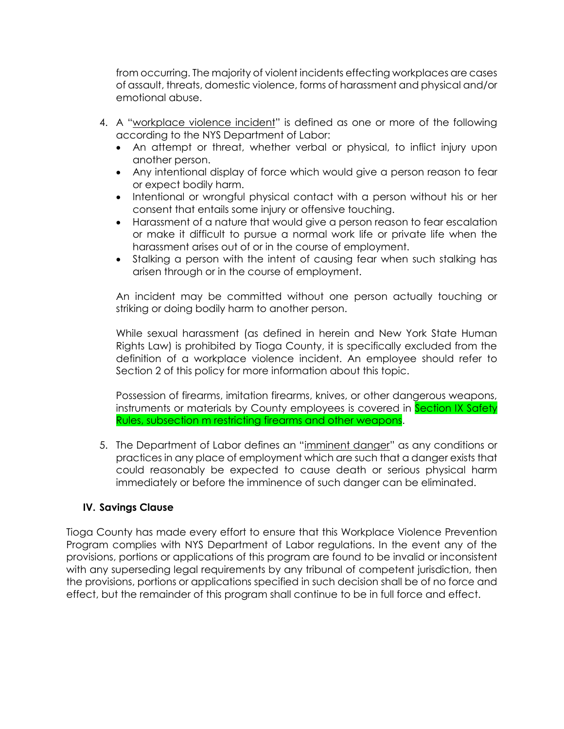from occurring. The majority of violent incidents effecting workplaces are cases of assault, threats, domestic violence, forms of harassment and physical and/or emotional abuse.

- 4. A "workplace violence incident" is defined as one or more of the following according to the NYS Department of Labor:
	- An attempt or threat, whether verbal or physical, to inflict injury upon another person.
	- Any intentional display of force which would give a person reason to fear or expect bodily harm.
	- Intentional or wrongful physical contact with a person without his or her consent that entails some injury or offensive touching.
	- Harassment of a nature that would give a person reason to fear escalation or make it difficult to pursue a normal work life or private life when the harassment arises out of or in the course of employment.
	- Stalking a person with the intent of causing fear when such stalking has arisen through or in the course of employment.

An incident may be committed without one person actually touching or striking or doing bodily harm to another person.

While sexual harassment (as defined in herein and New York State Human Rights Law) is prohibited by Tioga County, it is specifically excluded from the definition of a workplace violence incident. An employee should refer to Section 2 of this policy for more information about this topic.

Possession of firearms, imitation firearms, knives, or other dangerous weapons, instruments or materials by County employees is covered in Section IX Safety Rules, subsection m restricting firearms and other weapons.

5. The Department of Labor defines an "imminent danger" as any conditions or practices in any place of employment which are such that a danger exists that could reasonably be expected to cause death or serious physical harm immediately or before the imminence of such danger can be eliminated.

# **IV. Savings Clause**

Tioga County has made every effort to ensure that this Workplace Violence Prevention Program complies with NYS Department of Labor regulations. In the event any of the provisions, portions or applications of this program are found to be invalid or inconsistent with any superseding legal requirements by any tribunal of competent jurisdiction, then the provisions, portions or applications specified in such decision shall be of no force and effect, but the remainder of this program shall continue to be in full force and effect.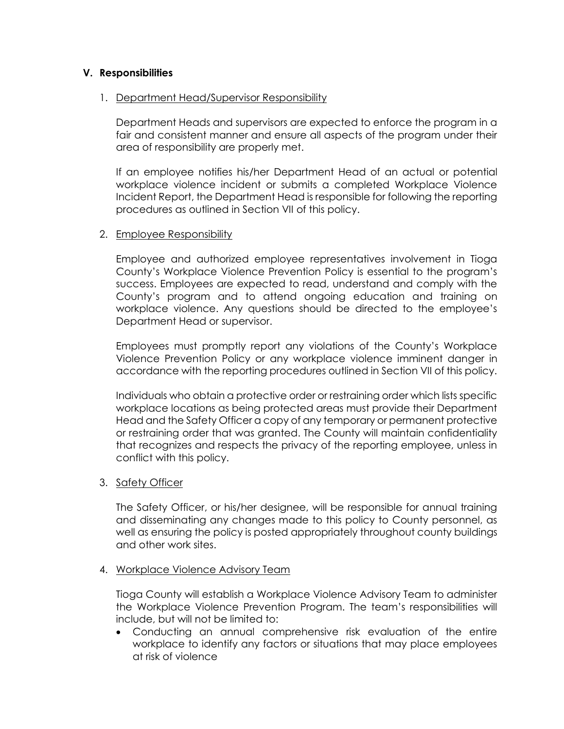### **V. Responsibilities**

### 1. Department Head/Supervisor Responsibility

Department Heads and supervisors are expected to enforce the program in a fair and consistent manner and ensure all aspects of the program under their area of responsibility are properly met.

If an employee notifies his/her Department Head of an actual or potential workplace violence incident or submits a completed Workplace Violence Incident Report, the Department Head is responsible for following the reporting procedures as outlined in Section VII of this policy.

#### 2. Employee Responsibility

Employee and authorized employee representatives involvement in Tioga County's Workplace Violence Prevention Policy is essential to the program's success. Employees are expected to read, understand and comply with the County's program and to attend ongoing education and training on workplace violence. Any questions should be directed to the employee's Department Head or supervisor.

Employees must promptly report any violations of the County's Workplace Violence Prevention Policy or any workplace violence imminent danger in accordance with the reporting procedures outlined in Section VII of this policy.

Individuals who obtain a protective order or restraining order which lists specific workplace locations as being protected areas must provide their Department Head and the Safety Officer a copy of any temporary or permanent protective or restraining order that was granted. The County will maintain confidentiality that recognizes and respects the privacy of the reporting employee, unless in conflict with this policy.

### 3. Safety Officer

The Safety Officer, or his/her designee, will be responsible for annual training and disseminating any changes made to this policy to County personnel, as well as ensuring the policy is posted appropriately throughout county buildings and other work sites.

### 4. Workplace Violence Advisory Team

Tioga County will establish a Workplace Violence Advisory Team to administer the Workplace Violence Prevention Program. The team's responsibilities will include, but will not be limited to:

 Conducting an annual comprehensive risk evaluation of the entire workplace to identify any factors or situations that may place employees at risk of violence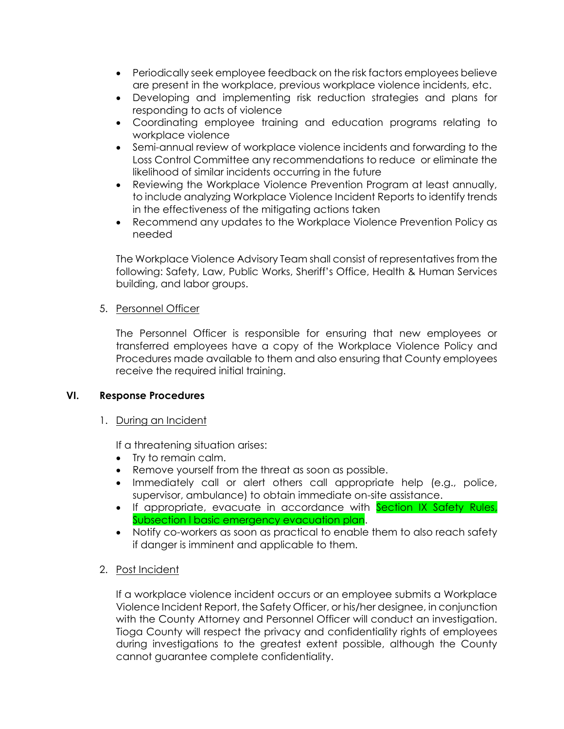- Periodically seek employee feedback on the risk factors employees believe are present in the workplace, previous workplace violence incidents, etc.
- Developing and implementing risk reduction strategies and plans for responding to acts of violence
- Coordinating employee training and education programs relating to workplace violence
- Semi-annual review of workplace violence incidents and forwarding to the Loss Control Committee any recommendations to reduce or eliminate the likelihood of similar incidents occurring in the future
- Reviewing the Workplace Violence Prevention Program at least annually, to include analyzing Workplace Violence Incident Reports to identify trends in the effectiveness of the mitigating actions taken
- Recommend any updates to the Workplace Violence Prevention Policy as needed

The Workplace Violence Advisory Team shall consist of representatives from the following: Safety, Law, Public Works, Sheriff's Office, Health & Human Services building, and labor groups.

### 5. Personnel Officer

The Personnel Officer is responsible for ensuring that new employees or transferred employees have a copy of the Workplace Violence Policy and Procedures made available to them and also ensuring that County employees receive the required initial training.

### **VI. Response Procedures**

# 1. During an Incident

If a threatening situation arises:

- Try to remain calm.
- Remove yourself from the threat as soon as possible.
- Immediately call or alert others call appropriate help (e.g., police, supervisor, ambulance) to obtain immediate on-site assistance.
- If appropriate, evacuate in accordance with Section IX Safety Rules, Subsection I basic emergency evacuation plan.
- Notify co-workers as soon as practical to enable them to also reach safety if danger is imminent and applicable to them.
- 2. Post Incident

If a workplace violence incident occurs or an employee submits a Workplace Violence Incident Report, the Safety Officer, or his/her designee, in conjunction with the County Attorney and Personnel Officer will conduct an investigation. Tioga County will respect the privacy and confidentiality rights of employees during investigations to the greatest extent possible, although the County cannot guarantee complete confidentiality.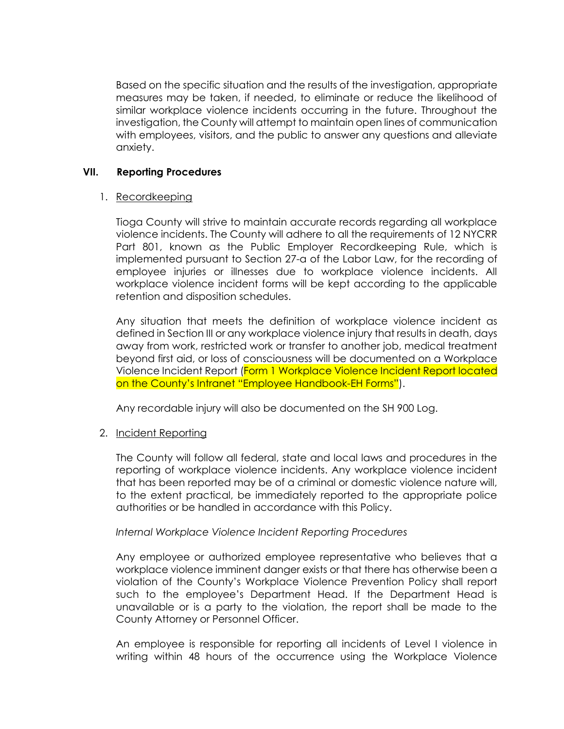Based on the specific situation and the results of the investigation, appropriate measures may be taken, if needed, to eliminate or reduce the likelihood of similar workplace violence incidents occurring in the future. Throughout the investigation, the County will attempt to maintain open lines of communication with employees, visitors, and the public to answer any questions and alleviate anxiety.

### **VII. Reporting Procedures**

### 1. Recordkeeping

Tioga County will strive to maintain accurate records regarding all workplace violence incidents. The County will adhere to all the requirements of 12 NYCRR Part 801, known as the Public Employer Recordkeeping Rule, which is implemented pursuant to Section 27-a of the Labor Law, for the recording of employee injuries or illnesses due to workplace violence incidents. All workplace violence incident forms will be kept according to the applicable retention and disposition schedules.

Any situation that meets the definition of workplace violence incident as defined in Section III or any workplace violence injury that results in death, days away from work, restricted work or transfer to another job, medical treatment beyond first aid, or loss of consciousness will be documented on a Workplace Violence Incident Report (Form 1 Workplace Violence Incident Report located on the County's Intranet "Employee Handbook-EH Forms").

Any recordable injury will also be documented on the SH 900 Log.

# 2. Incident Reporting

The County will follow all federal, state and local laws and procedures in the reporting of workplace violence incidents. Any workplace violence incident that has been reported may be of a criminal or domestic violence nature will, to the extent practical, be immediately reported to the appropriate police authorities or be handled in accordance with this Policy.

### *Internal Workplace Violence Incident Reporting Procedures*

Any employee or authorized employee representative who believes that a workplace violence imminent danger exists or that there has otherwise been a violation of the County's Workplace Violence Prevention Policy shall report such to the employee's Department Head. If the Department Head is unavailable or is a party to the violation, the report shall be made to the County Attorney or Personnel Officer.

An employee is responsible for reporting all incidents of Level I violence in writing within 48 hours of the occurrence using the Workplace Violence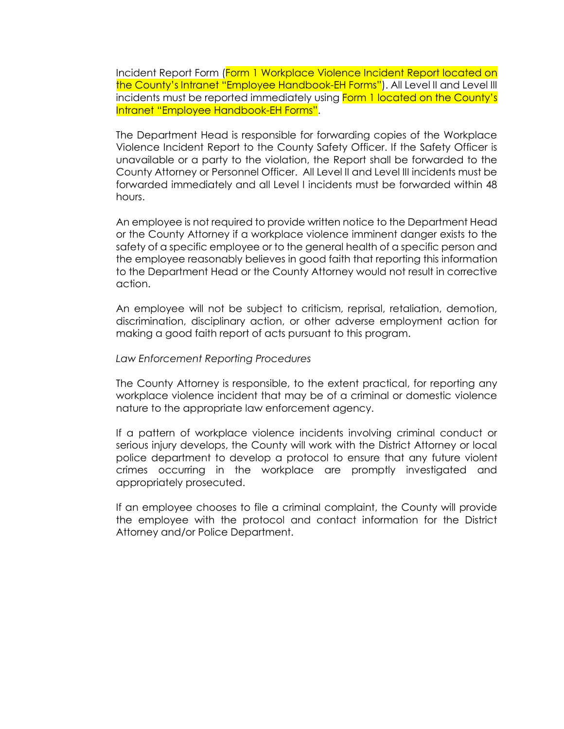Incident Report Form (Form 1 Workplace Violence Incident Report located on the County's Intranet "Employee Handbook-EH Forms"). All Level II and Level III incidents must be reported immediately using **Form 1 located on the County's** Intranet "Employee Handbook-EH Forms".

The Department Head is responsible for forwarding copies of the Workplace Violence Incident Report to the County Safety Officer. If the Safety Officer is unavailable or a party to the violation, the Report shall be forwarded to the County Attorney or Personnel Officer. All Level II and Level III incidents must be forwarded immediately and all Level I incidents must be forwarded within 48 hours.

An employee is not required to provide written notice to the Department Head or the County Attorney if a workplace violence imminent danger exists to the safety of a specific employee or to the general health of a specific person and the employee reasonably believes in good faith that reporting this information to the Department Head or the County Attorney would not result in corrective action.

An employee will not be subject to criticism, reprisal, retaliation, demotion, discrimination, disciplinary action, or other adverse employment action for making a good faith report of acts pursuant to this program.

#### *Law Enforcement Reporting Procedures*

The County Attorney is responsible, to the extent practical, for reporting any workplace violence incident that may be of a criminal or domestic violence nature to the appropriate law enforcement agency.

If a pattern of workplace violence incidents involving criminal conduct or serious injury develops, the County will work with the District Attorney or local police department to develop a protocol to ensure that any future violent crimes occurring in the workplace are promptly investigated and appropriately prosecuted.

If an employee chooses to file a criminal complaint, the County will provide the employee with the protocol and contact information for the District Attorney and/or Police Department.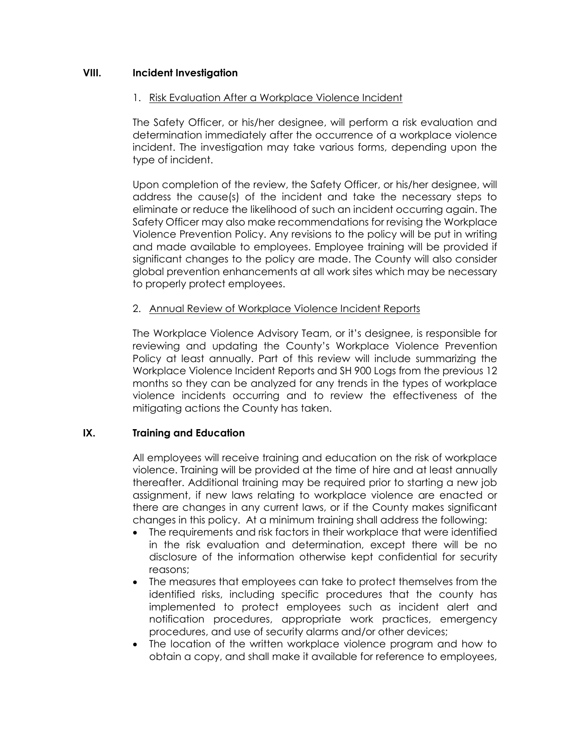### **VIII. Incident Investigation**

### 1. Risk Evaluation After a Workplace Violence Incident

The Safety Officer, or his/her designee, will perform a risk evaluation and determination immediately after the occurrence of a workplace violence incident. The investigation may take various forms, depending upon the type of incident.

Upon completion of the review, the Safety Officer, or his/her designee, will address the cause(s) of the incident and take the necessary steps to eliminate or reduce the likelihood of such an incident occurring again. The Safety Officer may also make recommendations for revising the Workplace Violence Prevention Policy. Any revisions to the policy will be put in writing and made available to employees. Employee training will be provided if significant changes to the policy are made. The County will also consider global prevention enhancements at all work sites which may be necessary to properly protect employees.

### 2. Annual Review of Workplace Violence Incident Reports

The Workplace Violence Advisory Team, or it's designee, is responsible for reviewing and updating the County's Workplace Violence Prevention Policy at least annually. Part of this review will include summarizing the Workplace Violence Incident Reports and SH 900 Logs from the previous 12 months so they can be analyzed for any trends in the types of workplace violence incidents occurring and to review the effectiveness of the mitigating actions the County has taken.

### **IX. Training and Education**

All employees will receive training and education on the risk of workplace violence. Training will be provided at the time of hire and at least annually thereafter. Additional training may be required prior to starting a new job assignment, if new laws relating to workplace violence are enacted or there are changes in any current laws, or if the County makes significant changes in this policy. At a minimum training shall address the following:

- The requirements and risk factors in their workplace that were identified in the risk evaluation and determination, except there will be no disclosure of the information otherwise kept confidential for security reasons;
- The measures that employees can take to protect themselves from the identified risks, including specific procedures that the county has implemented to protect employees such as incident alert and notification procedures, appropriate work practices, emergency procedures, and use of security alarms and/or other devices;
- The location of the written workplace violence program and how to obtain a copy, and shall make it available for reference to employees,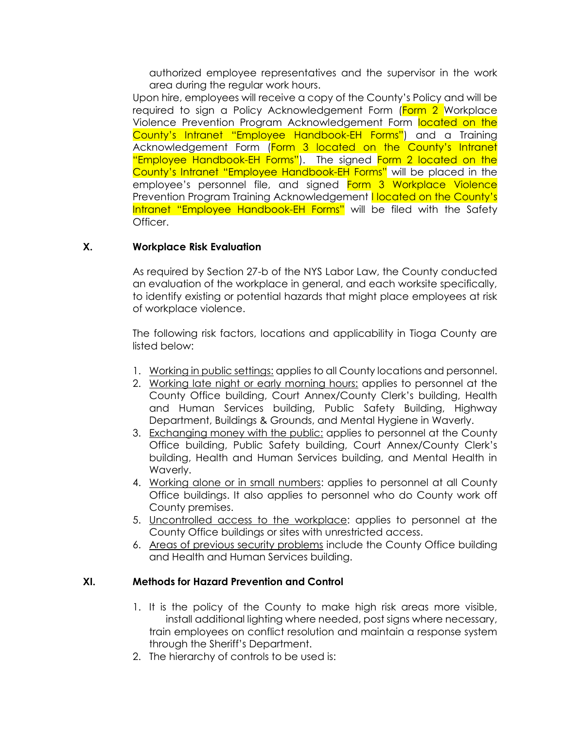authorized employee representatives and the supervisor in the work area during the regular work hours.

Upon hire, employees will receive a copy of the County's Policy and will be required to sign a Policy Acknowledgement Form (Form 2 Workplace Violence Prevention Program Acknowledgement Form located on the County's Intranet "Employee Handbook-EH Forms") and a Training Acknowledgement Form (Form 3 located on the County's Intranet "Employee Handbook-EH Forms"). The signed Form 2 located on the County's Intranet "Employee Handbook-EH Forms" will be placed in the employee's personnel file, and signed Form 3 Workplace Violence Prevention Program Training Acknowledgement **I located on the County's** Intranet "Employee Handbook-EH Forms" will be filed with the Safety Officer.

### **X. Workplace Risk Evaluation**

As required by Section 27-b of the NYS Labor Law, the County conducted an evaluation of the workplace in general, and each worksite specifically, to identify existing or potential hazards that might place employees at risk of workplace violence.

The following risk factors, locations and applicability in Tioga County are listed below:

- 1. Working in public settings: applies to all County locations and personnel.
- 2. Working late night or early morning hours: applies to personnel at the County Office building, Court Annex/County Clerk's building, Health and Human Services building, Public Safety Building, Highway Department, Buildings & Grounds, and Mental Hygiene in Waverly.
- 3. Exchanging money with the public: applies to personnel at the County Office building, Public Safety building, Court Annex/County Clerk's building, Health and Human Services building, and Mental Health in Waverly.
- 4. Working alone or in small numbers: applies to personnel at all County Office buildings. It also applies to personnel who do County work off County premises.
- 5. Uncontrolled access to the workplace: applies to personnel at the County Office buildings or sites with unrestricted access.
- 6. Areas of previous security problems include the County Office building and Health and Human Services building.

### **XI. Methods for Hazard Prevention and Control**

- 1. It is the policy of the County to make high risk areas more visible, install additional lighting where needed, post signs where necessary, train employees on conflict resolution and maintain a response system through the Sheriff's Department.
- 2. The hierarchy of controls to be used is: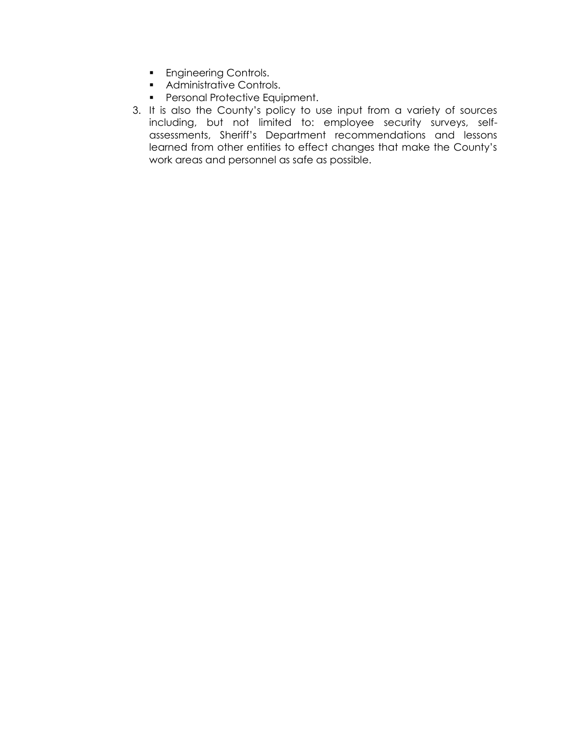- **Engineering Controls.**
- **Administrative Controls.**
- **Personal Protective Equipment.**
- 3. It is also the County's policy to use input from a variety of sources including, but not limited to: employee security surveys, selfassessments, Sheriff's Department recommendations and lessons learned from other entities to effect changes that make the County's work areas and personnel as safe as possible.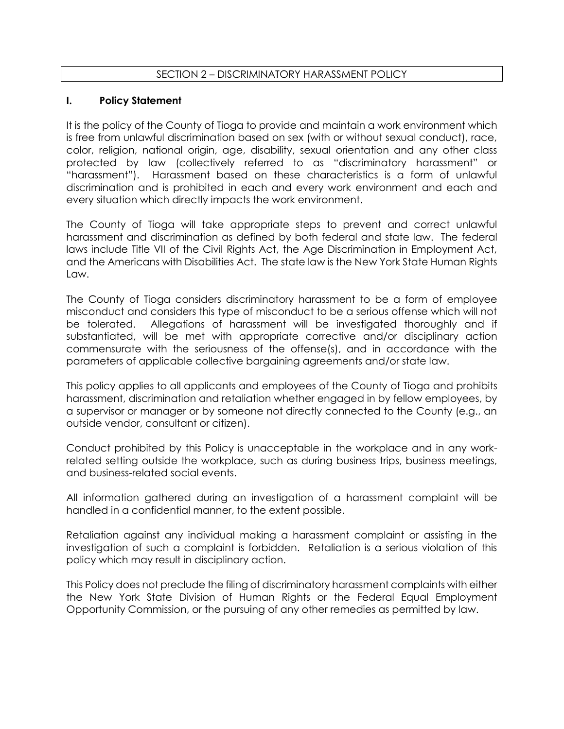# SECTION 2 – DISCRIMINATORY HARASSMENT POLICY

### **I. Policy Statement**

It is the policy of the County of Tioga to provide and maintain a work environment which is free from unlawful discrimination based on sex (with or without sexual conduct), race, color, religion, national origin, age, disability, sexual orientation and any other class protected by law (collectively referred to as "discriminatory harassment" or "harassment"). Harassment based on these characteristics is a form of unlawful discrimination and is prohibited in each and every work environment and each and every situation which directly impacts the work environment.

The County of Tioga will take appropriate steps to prevent and correct unlawful harassment and discrimination as defined by both federal and state law. The federal laws include Title VII of the Civil Rights Act, the Age Discrimination in Employment Act, and the Americans with Disabilities Act. The state law is the New York State Human Rights Law.

The County of Tioga considers discriminatory harassment to be a form of employee misconduct and considers this type of misconduct to be a serious offense which will not be tolerated. Allegations of harassment will be investigated thoroughly and if substantiated, will be met with appropriate corrective and/or disciplinary action commensurate with the seriousness of the offense(s), and in accordance with the parameters of applicable collective bargaining agreements and/or state law.

This policy applies to all applicants and employees of the County of Tioga and prohibits harassment, discrimination and retaliation whether engaged in by fellow employees, by a supervisor or manager or by someone not directly connected to the County (e.g., an outside vendor, consultant or citizen).

Conduct prohibited by this Policy is unacceptable in the workplace and in any workrelated setting outside the workplace, such as during business trips, business meetings, and business-related social events.

All information gathered during an investigation of a harassment complaint will be handled in a confidential manner, to the extent possible.

Retaliation against any individual making a harassment complaint or assisting in the investigation of such a complaint is forbidden. Retaliation is a serious violation of this policy which may result in disciplinary action.

This Policy does not preclude the filing of discriminatory harassment complaints with either the New York State Division of Human Rights or the Federal Equal Employment Opportunity Commission, or the pursuing of any other remedies as permitted by law.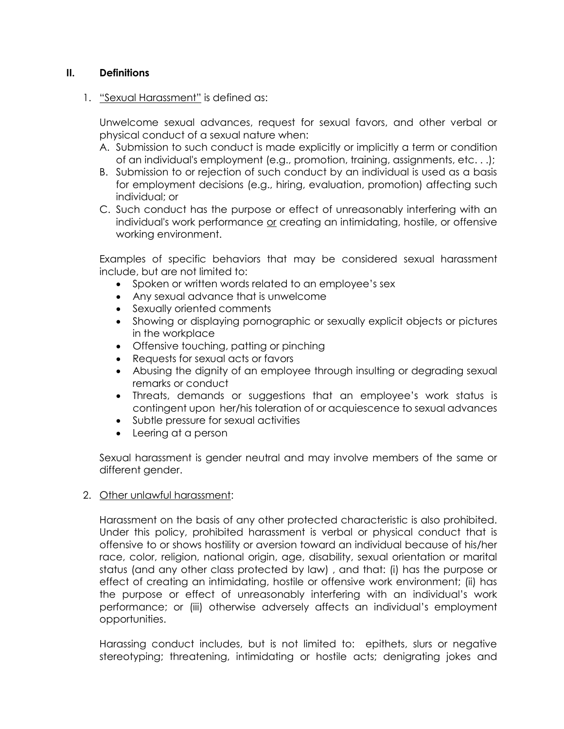# **II. Definitions**

1. "Sexual Harassment" is defined as:

Unwelcome sexual advances, request for sexual favors, and other verbal or physical conduct of a sexual nature when:

- A. Submission to such conduct is made explicitly or implicitly a term or condition of an individual's employment (e.g., promotion, training, assignments, etc. . .);
- B. Submission to or rejection of such conduct by an individual is used as a basis for employment decisions (e.g., hiring, evaluation, promotion) affecting such individual; or
- C. Such conduct has the purpose or effect of unreasonably interfering with an individual's work performance or creating an intimidating, hostile, or offensive working environment.

Examples of specific behaviors that may be considered sexual harassment include, but are not limited to:

- Spoken or written words related to an employee's sex
- Any sexual advance that is unwelcome
- Sexually oriented comments
- Showing or displaying pornographic or sexually explicit objects or pictures in the workplace
- Offensive touching, patting or pinching
- Requests for sexual acts or favors
- Abusing the dignity of an employee through insulting or degrading sexual remarks or conduct
- Threats, demands or suggestions that an employee's work status is contingent upon her/his toleration of or acquiescence to sexual advances
- Subtle pressure for sexual activities
- Leering at a person

Sexual harassment is gender neutral and may involve members of the same or different gender.

### 2. Other unlawful harassment:

Harassment on the basis of any other protected characteristic is also prohibited. Under this policy, prohibited harassment is verbal or physical conduct that is offensive to or shows hostility or aversion toward an individual because of his/her race, color, religion, national origin, age, disability, sexual orientation or marital status (and any other class protected by law) , and that: (i) has the purpose or effect of creating an intimidating, hostile or offensive work environment; (ii) has the purpose or effect of unreasonably interfering with an individual's work performance; or (iii) otherwise adversely affects an individual's employment opportunities.

Harassing conduct includes, but is not limited to: epithets, slurs or negative stereotyping; threatening, intimidating or hostile acts; denigrating jokes and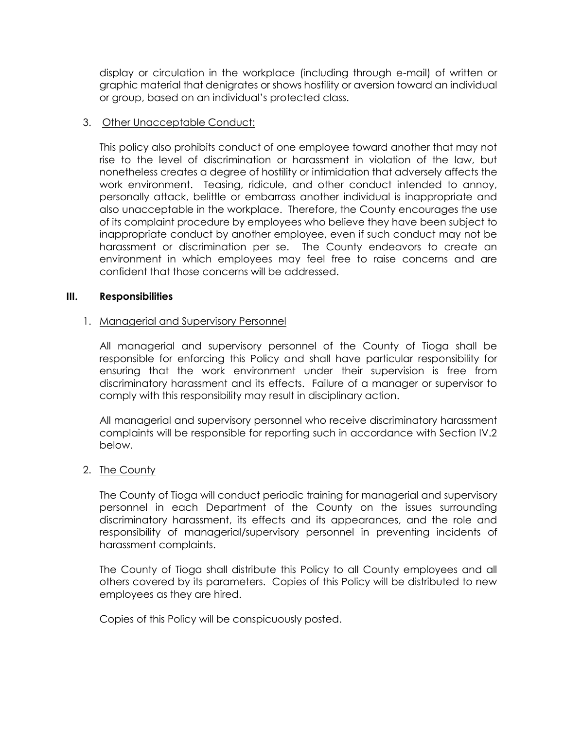display or circulation in the workplace (including through e-mail) of written or graphic material that denigrates or shows hostility or aversion toward an individual or group, based on an individual's protected class.

### 3. Other Unacceptable Conduct:

This policy also prohibits conduct of one employee toward another that may not rise to the level of discrimination or harassment in violation of the law, but nonetheless creates a degree of hostility or intimidation that adversely affects the work environment. Teasing, ridicule, and other conduct intended to annoy, personally attack, belittle or embarrass another individual is inappropriate and also unacceptable in the workplace. Therefore, the County encourages the use of its complaint procedure by employees who believe they have been subject to inappropriate conduct by another employee, even if such conduct may not be harassment or discrimination per se. The County endeavors to create an environment in which employees may feel free to raise concerns and are confident that those concerns will be addressed.

### **III. Responsibilities**

### 1. Managerial and Supervisory Personnel

All managerial and supervisory personnel of the County of Tioga shall be responsible for enforcing this Policy and shall have particular responsibility for ensuring that the work environment under their supervision is free from discriminatory harassment and its effects. Failure of a manager or supervisor to comply with this responsibility may result in disciplinary action.

All managerial and supervisory personnel who receive discriminatory harassment complaints will be responsible for reporting such in accordance with Section IV.2 below.

### 2. The County

The County of Tioga will conduct periodic training for managerial and supervisory personnel in each Department of the County on the issues surrounding discriminatory harassment, its effects and its appearances, and the role and responsibility of managerial/supervisory personnel in preventing incidents of harassment complaints.

The County of Tioga shall distribute this Policy to all County employees and all others covered by its parameters. Copies of this Policy will be distributed to new employees as they are hired.

Copies of this Policy will be conspicuously posted.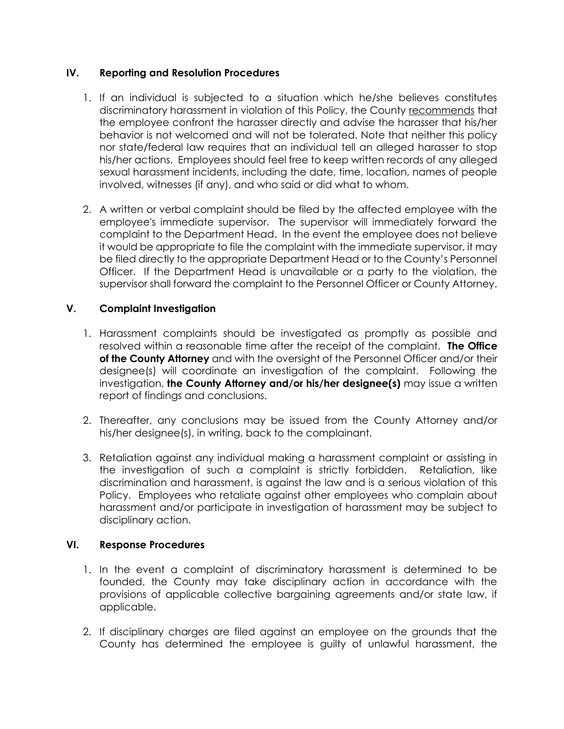### **IV. Reporting and Resolution Procedures**

- 1. If an individual is subjected to a situation which he/she believes constitutes discriminatory harassment in violation of this Policy, the County recommends that the employee confront the harasser directly and advise the harasser that his/her behavior is not welcomed and will not be tolerated. Note that neither this policy nor state/federal law requires that an individual tell an alleged harasser to stop his/her actions. Employees should feel free to keep written records of any alleged sexual harassment incidents, including the date, time, location, names of people involved, witnesses (if any), and who said or did what to whom.
- 2. A written or verbal complaint should be filed by the affected employee with the employee's immediate supervisor. The supervisor will immediately forward the complaint to the Department Head. In the event the employee does not believe it would be appropriate to file the complaint with the immediate supervisor, it may be filed directly to the appropriate Department Head or to the County's Personnel Officer. If the Department Head is unavailable or a party to the violation, the supervisor shall forward the complaint to the Personnel Officer or County Attorney.

# **V. Complaint Investigation**

- 1. Harassment complaints should be investigated as promptly as possible and resolved within a reasonable time after the receipt of the complaint. **The Office of the County Attorney** and with the oversight of the Personnel Officer and/or their designee(s) will coordinate an investigation of the complaint. Following the investigation, **the County Attorney and/or his/her designee(s)** may issue a written report of findings and conclusions.
- 2. Thereafter, any conclusions may be issued from the County Attorney and/or his/her designee(s), in writing, back to the complainant.
- 3. Retaliation against any individual making a harassment complaint or assisting in the investigation of such a complaint is strictly forbidden. Retaliation, like discrimination and harassment, is against the law and is a serious violation of this Policy. Employees who retaliate against other employees who complain about harassment and/or participate in investigation of harassment may be subject to disciplinary action.

# **VI. Response Procedures**

- 1. In the event a complaint of discriminatory harassment is determined to be founded, the County may take disciplinary action in accordance with the provisions of applicable collective bargaining agreements and/or state law, if applicable.
- 2. If disciplinary charges are filed against an employee on the grounds that the County has determined the employee is guilty of unlawful harassment, the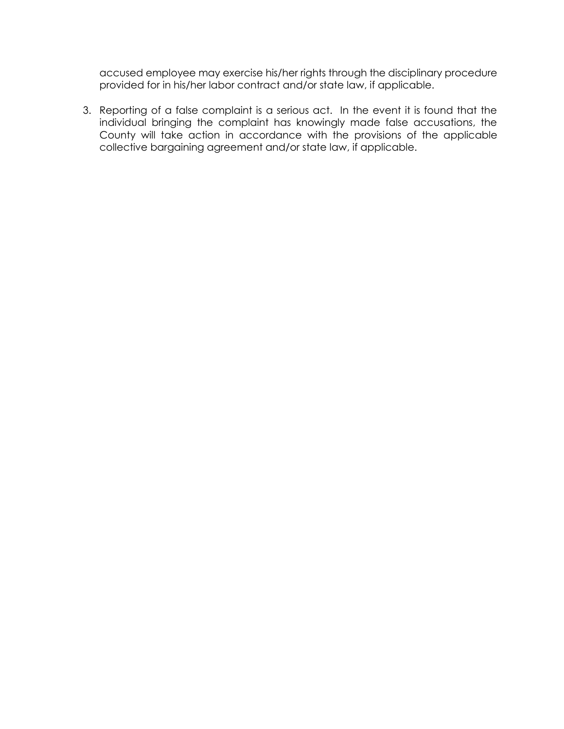accused employee may exercise his/her rights through the disciplinary procedure provided for in his/her labor contract and/or state law, if applicable.

3. Reporting of a false complaint is a serious act. In the event it is found that the individual bringing the complaint has knowingly made false accusations, the County will take action in accordance with the provisions of the applicable collective bargaining agreement and/or state law, if applicable.